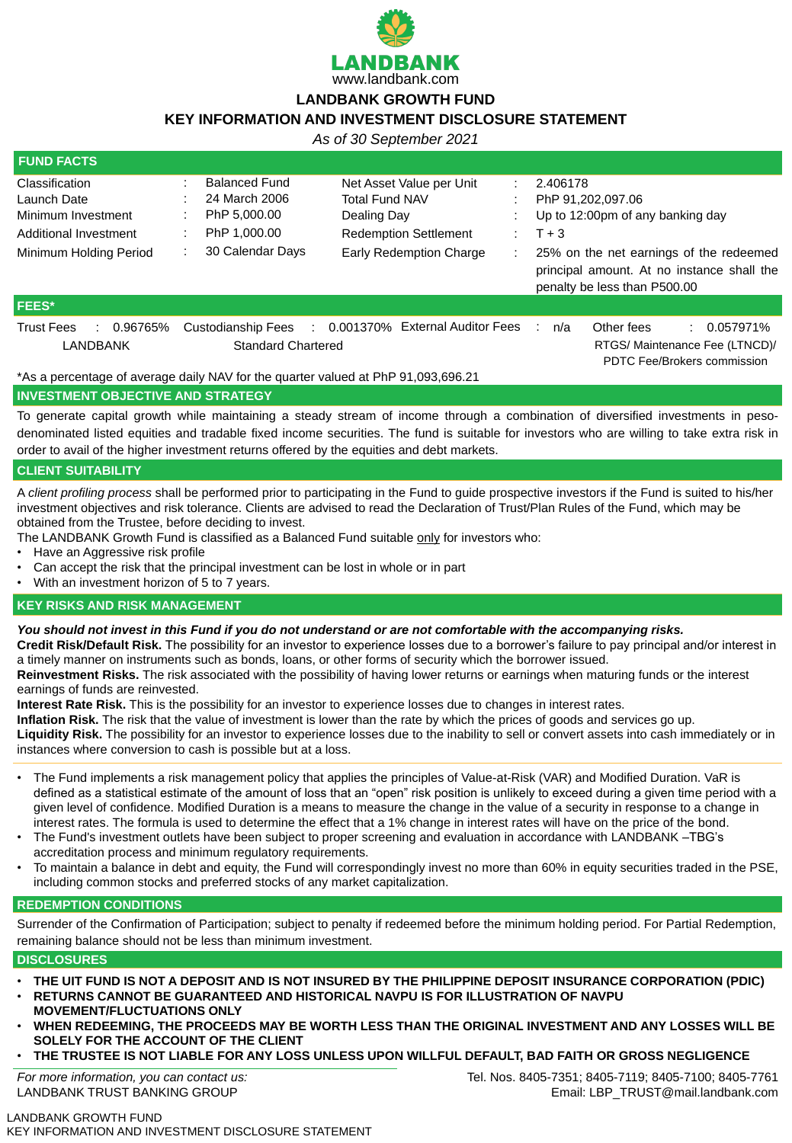

# **LANDBANK GROWTH FUND**

# **KEY INFORMATION AND INVESTMENT DISCLOSURE STATEMENT**

LANDBANK GROWTH FUND KEY INFORMATION AND INVESTMENT DISCLOSURE STATEMENT

*As of 30 September 2021*

| <b>FUND FACTS</b>                                                                                                           |                                                                                           |                                                                                                                                    |                     |                                                                                       |                                                                                                |
|-----------------------------------------------------------------------------------------------------------------------------|-------------------------------------------------------------------------------------------|------------------------------------------------------------------------------------------------------------------------------------|---------------------|---------------------------------------------------------------------------------------|------------------------------------------------------------------------------------------------|
| <b>Classification</b><br>Launch Date<br><b>Minimum Investment</b><br><b>Additional Investment</b><br>Minimum Holding Period | <b>Balanced Fund</b><br>24 March 2006<br>PhP 5,000.00<br>PhP 1,000.00<br>30 Calendar Days | Net Asset Value per Unit<br><b>Total Fund NAV</b><br>Dealing Day<br><b>Redemption Settlement</b><br><b>Early Redemption Charge</b> | 2.406178<br>$T + 3$ | PhP 91,202,097.06<br>Up to 12:00pm of any banking day<br>penalty be less than P500.00 | 25% on the net earnings of the redeemed<br>principal amount. At no instance shall the          |
| <b>FEES*</b>                                                                                                                |                                                                                           |                                                                                                                                    |                     |                                                                                       |                                                                                                |
| <b>Trust Fees</b><br>0.96765%<br><b>LANDBANK</b>                                                                            | <b>Custodianship Fees</b><br>$\mathbb{R}^n$<br><b>Standard Chartered</b>                  | 0.001370% External Auditor Fees                                                                                                    | ÷<br>n/a            | Other fees                                                                            | $\therefore$ 0.057971%<br>RTGS/ Maintenance Fee (LTNCD)/<br><b>PDTC Fee/Brokers commission</b> |

- Have an Aggressive risk profile
- Can accept the risk that the principal investment can be lost in whole or in part
- With an investment horizon of 5 to 7 years.

\*As a percentage of average daily NAV for the quarter valued at PhP 91,093,696.21

#### **INVESTMENT OBJECTIVE AND STRATEGY**

To generate capital growth while maintaining a steady stream of income through a combination of diversified investments in pesodenominated listed equities and tradable fixed income securities. The fund is suitable for investors who are willing to take extra risk in order to avail of the higher investment returns offered by the equities and debt markets.

#### **CLIENT SUITABILITY**

A *client profiling process* shall be performed prior to participating in the Fund to guide prospective investors if the Fund is suited to his/her investment objectives and risk tolerance. Clients are advised to read the Declaration of Trust/Plan Rules of the Fund, which may be obtained from the Trustee, before deciding to invest.

The LANDBANK Growth Fund is classified as a Balanced Fund suitable only for investors who:

#### **KEY RISKS AND RISK MANAGEMENT**

#### *You should not invest in this Fund if you do not understand or are not comfortable with the accompanying risks.*

**Credit Risk/Default Risk.** The possibility for an investor to experience losses due to a borrower's failure to pay principal and/or interest in

a timely manner on instruments such as bonds, loans, or other forms of security which the borrower issued.

**Reinvestment Risks.** The risk associated with the possibility of having lower returns or earnings when maturing funds or the interest earnings of funds are reinvested.

**Interest Rate Risk.** This is the possibility for an investor to experience losses due to changes in interest rates.

**Inflation Risk.** The risk that the value of investment is lower than the rate by which the prices of goods and services go up.

**Liquidity Risk.** The possibility for an investor to experience losses due to the inability to sell or convert assets into cash immediately or in instances where conversion to cash is possible but at a loss.

- The Fund implements a risk management policy that applies the principles of Value-at-Risk (VAR) and Modified Duration. VaR is defined as a statistical estimate of the amount of loss that an "open" risk position is unlikely to exceed during a given time period with a given level of confidence. Modified Duration is a means to measure the change in the value of a security in response to a change in interest rates. The formula is used to determine the effect that a 1% change in interest rates will have on the price of the bond.
- The Fund's investment outlets have been subject to proper screening and evaluation in accordance with LANDBANK –TBG's accreditation process and minimum regulatory requirements.
- To maintain a balance in debt and equity, the Fund will correspondingly invest no more than 60% in equity securities traded in the PSE, including common stocks and preferred stocks of any market capitalization.

# **REDEMPTION CONDITIONS**

Surrender of the Confirmation of Participation; subject to penalty if redeemed before the minimum holding period. For Partial Redemption, remaining balance should not be less than minimum investment.

# **DISCLOSURES**

- **THE UIT FUND IS NOT A DEPOSIT AND IS NOT INSURED BY THE PHILIPPINE DEPOSIT INSURANCE CORPORATION (PDIC)**
- **RETURNS CANNOT BE GUARANTEED AND HISTORICAL NAVPU IS FOR ILLUSTRATION OF NAVPU MOVEMENT/FLUCTUATIONS ONLY**
- **WHEN REDEEMING, THE PROCEEDS MAY BE WORTH LESS THAN THE ORIGINAL INVESTMENT AND ANY LOSSES WILL BE SOLELY FOR THE ACCOUNT OF THE CLIENT**
- **THE TRUSTEE IS NOT LIABLE FOR ANY LOSS UNLESS UPON WILLFUL DEFAULT, BAD FAITH OR GROSS NEGLIGENCE**

*For more information, you can contact us:* LANDBANK TRUST BANKING GROUP

Tel. Nos. 8405-7351; 8405-7119; 8405-7100; 8405-7761 Email: LBP\_TRUST@mail.landbank.com